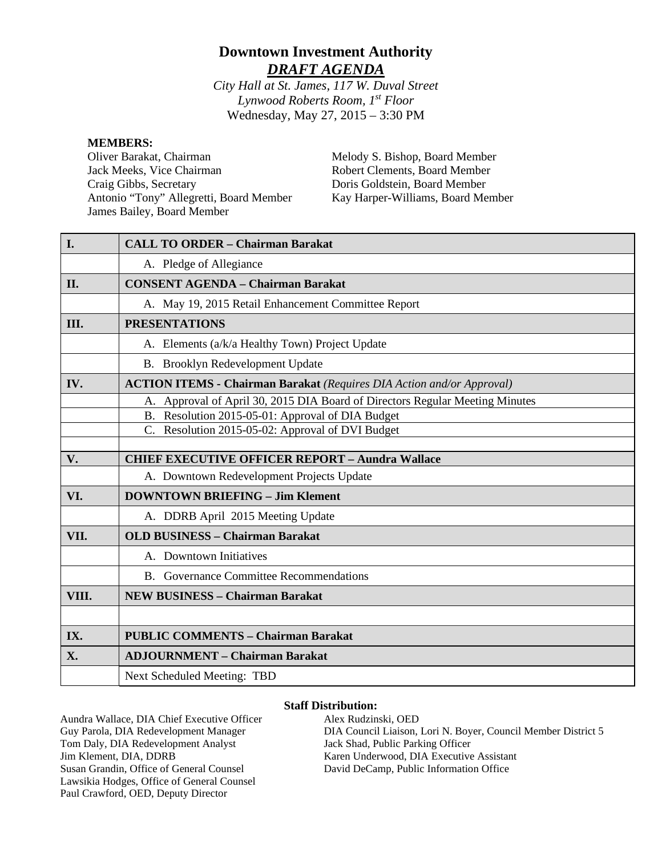# **Downtown Investment Authority** *DRAFT AGENDA*

*City Hall at St. James, 117 W. Duval Street Lynwood Roberts Room, 1st Floor* Wednesday, May 27, 2015 – 3:30 PM

#### **MEMBERS:**

Oliver Barakat, Chairman Jack Meeks, Vice Chairman Craig Gibbs, Secretary Antonio "Tony" Allegretti, Board Member James Bailey, Board Member

Melody S. Bishop, Board Member Robert Clements, Board Member Doris Goldstein, Board Member Kay Harper-Williams, Board Member

| I.    | <b>CALL TO ORDER - Chairman Barakat</b>                                      |
|-------|------------------------------------------------------------------------------|
|       | A. Pledge of Allegiance                                                      |
| II.   | <b>CONSENT AGENDA - Chairman Barakat</b>                                     |
|       | A. May 19, 2015 Retail Enhancement Committee Report                          |
| Ш.    | <b>PRESENTATIONS</b>                                                         |
|       | A. Elements (a/k/a Healthy Town) Project Update                              |
|       | B. Brooklyn Redevelopment Update                                             |
| IV.   | <b>ACTION ITEMS - Chairman Barakat</b> (Requires DIA Action and/or Approval) |
|       | A. Approval of April 30, 2015 DIA Board of Directors Regular Meeting Minutes |
|       | B. Resolution 2015-05-01: Approval of DIA Budget                             |
|       | C. Resolution 2015-05-02: Approval of DVI Budget                             |
|       |                                                                              |
| V.    | <b>CHIEF EXECUTIVE OFFICER REPORT - Aundra Wallace</b>                       |
|       | A. Downtown Redevelopment Projects Update                                    |
| VI.   | <b>DOWNTOWN BRIEFING - Jim Klement</b>                                       |
|       | A. DDRB April 2015 Meeting Update                                            |
| VII.  | <b>OLD BUSINESS - Chairman Barakat</b>                                       |
|       | A. Downtown Initiatives                                                      |
|       | B. Governance Committee Recommendations                                      |
| VIII. | <b>NEW BUSINESS - Chairman Barakat</b>                                       |
|       |                                                                              |
| IX.   | <b>PUBLIC COMMENTS - Chairman Barakat</b>                                    |
| X.    | <b>ADJOURNMENT - Chairman Barakat</b>                                        |
|       | <b>Next Scheduled Meeting: TBD</b>                                           |

#### **Staff Distribution:**

Aundra Wallace, DIA Chief Executive Officer Guy Parola, DIA Redevelopment Manager Tom Daly, DIA Redevelopment Analyst Jim Klement, DIA, DDRB Susan Grandin, Office of General Counsel Lawsikia Hodges, Office of General Counsel Paul Crawford, OED, Deputy Director

Alex Rudzinski, OED DIA Council Liaison, Lori N. Boyer, Council Member District 5 Jack Shad, Public Parking Officer Karen Underwood, DIA Executive Assistant David DeCamp, Public Information Office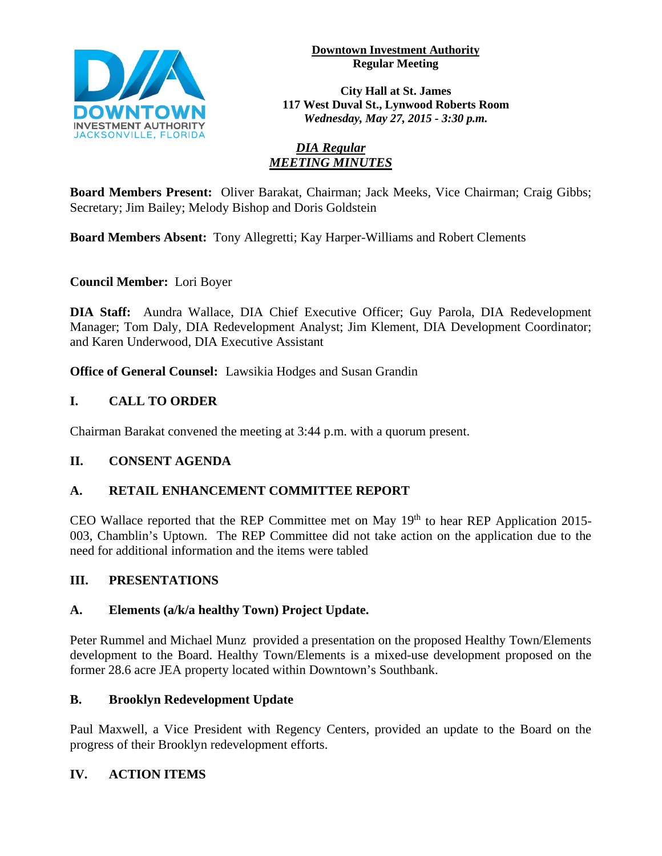

#### **Downtown Investment Authority Regular Meeting**

**City Hall at St. James 117 West Duval St., Lynwood Roberts Room** *Wednesday, May 27, 2015 - 3:30 p.m.*

# *DIA Regular MEETING MINUTES*

**Board Members Present:** Oliver Barakat, Chairman; Jack Meeks, Vice Chairman; Craig Gibbs; Secretary; Jim Bailey; Melody Bishop and Doris Goldstein

**Board Members Absent:** Tony Allegretti; Kay Harper-Williams and Robert Clements

**Council Member:** Lori Boyer

**DIA Staff:** Aundra Wallace, DIA Chief Executive Officer; Guy Parola, DIA Redevelopment Manager; Tom Daly, DIA Redevelopment Analyst; Jim Klement, DIA Development Coordinator; and Karen Underwood, DIA Executive Assistant

**Office of General Counsel:** Lawsikia Hodges and Susan Grandin

# **I. CALL TO ORDER**

Chairman Barakat convened the meeting at 3:44 p.m. with a quorum present.

# **II. CONSENT AGENDA**

# **A. RETAIL ENHANCEMENT COMMITTEE REPORT**

CEO Wallace reported that the REP Committee met on May  $19<sup>th</sup>$  to hear REP Application 2015-003, Chamblin's Uptown. The REP Committee did not take action on the application due to the need for additional information and the items were tabled

## **III. PRESENTATIONS**

## **A. Elements (a/k/a healthy Town) Project Update.**

Peter Rummel and Michael Munz provided a presentation on the proposed Healthy Town/Elements development to the Board. Healthy Town/Elements is a mixed-use development proposed on the former 28.6 acre JEA property located within Downtown's Southbank.

# **B. Brooklyn Redevelopment Update**

Paul Maxwell, a Vice President with Regency Centers, provided an update to the Board on the progress of their Brooklyn redevelopment efforts.

# **IV. ACTION ITEMS**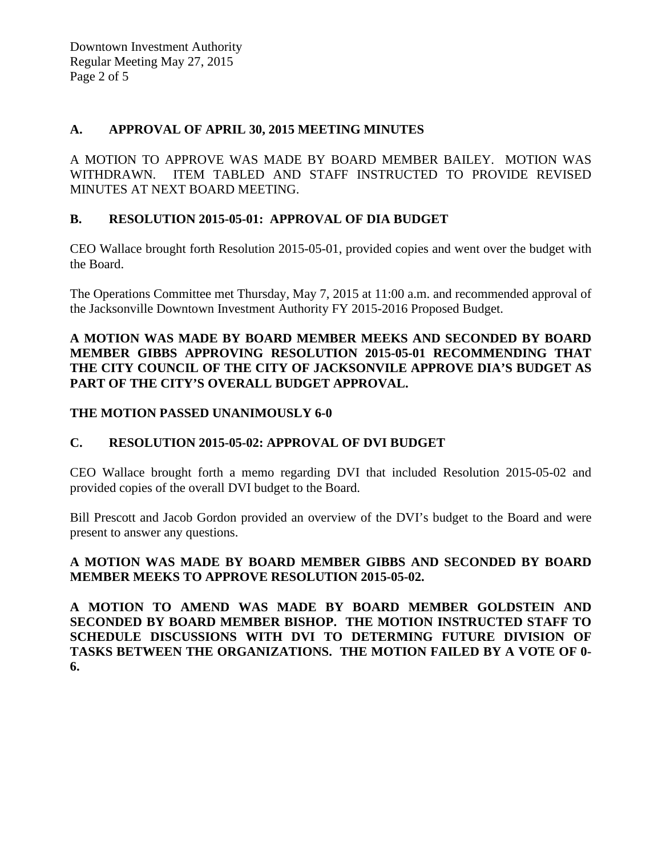## **A. APPROVAL OF APRIL 30, 2015 MEETING MINUTES**

A MOTION TO APPROVE WAS MADE BY BOARD MEMBER BAILEY. MOTION WAS WITHDRAWN. ITEM TABLED AND STAFF INSTRUCTED TO PROVIDE REVISED MINUTES AT NEXT BOARD MEETING.

## **B. RESOLUTION 2015-05-01: APPROVAL OF DIA BUDGET**

CEO Wallace brought forth Resolution 2015-05-01, provided copies and went over the budget with the Board.

The Operations Committee met Thursday, May 7, 2015 at 11:00 a.m. and recommended approval of the Jacksonville Downtown Investment Authority FY 2015-2016 Proposed Budget.

#### **A MOTION WAS MADE BY BOARD MEMBER MEEKS AND SECONDED BY BOARD MEMBER GIBBS APPROVING RESOLUTION 2015-05-01 RECOMMENDING THAT THE CITY COUNCIL OF THE CITY OF JACKSONVILE APPROVE DIA'S BUDGET AS PART OF THE CITY'S OVERALL BUDGET APPROVAL.**

## **THE MOTION PASSED UNANIMOUSLY 6-0**

## **C. RESOLUTION 2015-05-02: APPROVAL OF DVI BUDGET**

CEO Wallace brought forth a memo regarding DVI that included Resolution 2015-05-02 and provided copies of the overall DVI budget to the Board.

Bill Prescott and Jacob Gordon provided an overview of the DVI's budget to the Board and were present to answer any questions.

## **A MOTION WAS MADE BY BOARD MEMBER GIBBS AND SECONDED BY BOARD MEMBER MEEKS TO APPROVE RESOLUTION 2015-05-02.**

**A MOTION TO AMEND WAS MADE BY BOARD MEMBER GOLDSTEIN AND SECONDED BY BOARD MEMBER BISHOP. THE MOTION INSTRUCTED STAFF TO SCHEDULE DISCUSSIONS WITH DVI TO DETERMING FUTURE DIVISION OF TASKS BETWEEN THE ORGANIZATIONS. THE MOTION FAILED BY A VOTE OF 0- 6.**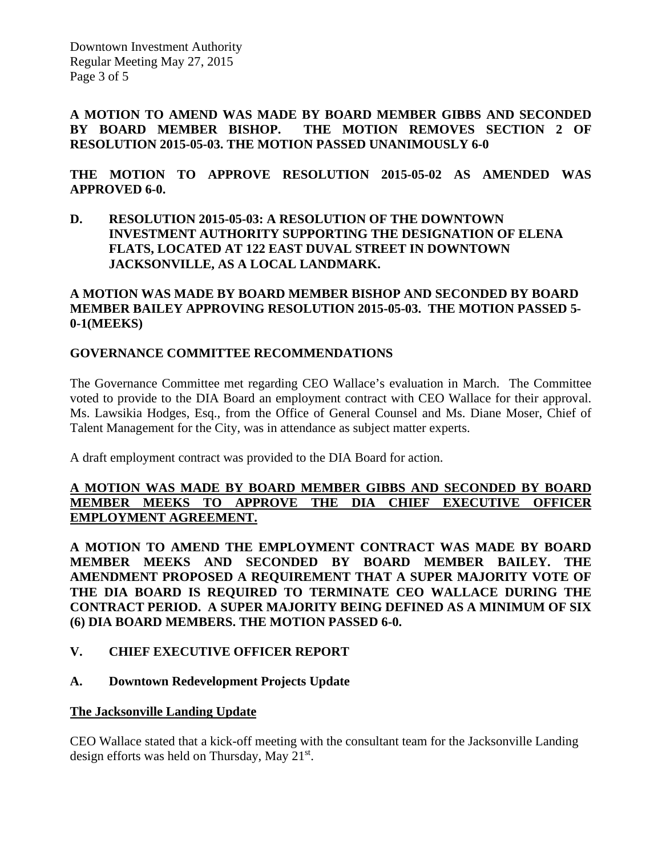Downtown Investment Authority Regular Meeting May 27, 2015 Page 3 of 5

**A MOTION TO AMEND WAS MADE BY BOARD MEMBER GIBBS AND SECONDED BY BOARD MEMBER BISHOP. THE MOTION REMOVES SECTION 2 OF RESOLUTION 2015-05-03. THE MOTION PASSED UNANIMOUSLY 6-0** 

**THE MOTION TO APPROVE RESOLUTION 2015-05-02 AS AMENDED WAS APPROVED 6-0.**

**D. RESOLUTION 2015-05-03: A RESOLUTION OF THE DOWNTOWN INVESTMENT AUTHORITY SUPPORTING THE DESIGNATION OF ELENA FLATS, LOCATED AT 122 EAST DUVAL STREET IN DOWNTOWN JACKSONVILLE, AS A LOCAL LANDMARK.**

#### **A MOTION WAS MADE BY BOARD MEMBER BISHOP AND SECONDED BY BOARD MEMBER BAILEY APPROVING RESOLUTION 2015-05-03. THE MOTION PASSED 5- 0-1(MEEKS)**

#### **GOVERNANCE COMMITTEE RECOMMENDATIONS**

The Governance Committee met regarding CEO Wallace's evaluation in March. The Committee voted to provide to the DIA Board an employment contract with CEO Wallace for their approval. Ms. Lawsikia Hodges, Esq., from the Office of General Counsel and Ms. Diane Moser, Chief of Talent Management for the City, was in attendance as subject matter experts.

A draft employment contract was provided to the DIA Board for action.

#### **A MOTION WAS MADE BY BOARD MEMBER GIBBS AND SECONDED BY BOARD MEMBER MEEKS TO APPROVE THE DIA CHIEF EXECUTIVE OFFICER EMPLOYMENT AGREEMENT.**

**A MOTION TO AMEND THE EMPLOYMENT CONTRACT WAS MADE BY BOARD MEMBER MEEKS AND SECONDED BY BOARD MEMBER BAILEY. THE AMENDMENT PROPOSED A REQUIREMENT THAT A SUPER MAJORITY VOTE OF THE DIA BOARD IS REQUIRED TO TERMINATE CEO WALLACE DURING THE CONTRACT PERIOD. A SUPER MAJORITY BEING DEFINED AS A MINIMUM OF SIX (6) DIA BOARD MEMBERS. THE MOTION PASSED 6-0.** 

## **V. CHIEF EXECUTIVE OFFICER REPORT**

#### **A. Downtown Redevelopment Projects Update**

#### **The Jacksonville Landing Update**

CEO Wallace stated that a kick-off meeting with the consultant team for the Jacksonville Landing design efforts was held on Thursday, May 21st.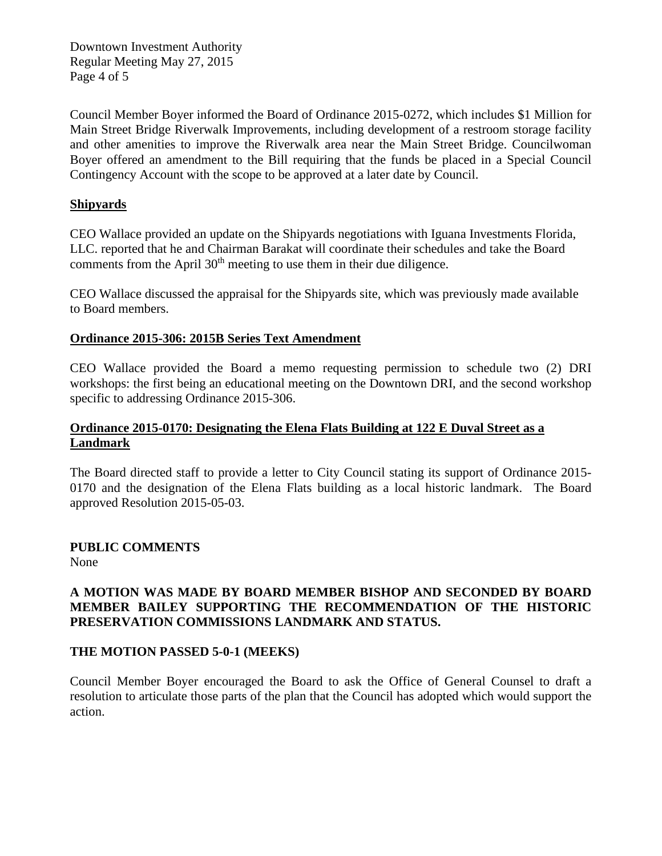Downtown Investment Authority Regular Meeting May 27, 2015 Page 4 of 5

Council Member Boyer informed the Board of Ordinance 2015-0272, which includes \$1 Million for Main Street Bridge Riverwalk Improvements, including development of a restroom storage facility and other amenities to improve the Riverwalk area near the Main Street Bridge. Councilwoman Boyer offered an amendment to the Bill requiring that the funds be placed in a Special Council Contingency Account with the scope to be approved at a later date by Council.

#### **Shipyards**

CEO Wallace provided an update on the Shipyards negotiations with Iguana Investments Florida, LLC. reported that he and Chairman Barakat will coordinate their schedules and take the Board comments from the April  $30<sup>th</sup>$  meeting to use them in their due diligence.

CEO Wallace discussed the appraisal for the Shipyards site, which was previously made available to Board members.

#### **Ordinance 2015-306: 2015B Series Text Amendment**

CEO Wallace provided the Board a memo requesting permission to schedule two (2) DRI workshops: the first being an educational meeting on the Downtown DRI, and the second workshop specific to addressing Ordinance 2015-306.

#### **Ordinance 2015-0170: Designating the Elena Flats Building at 122 E Duval Street as a Landmark**

The Board directed staff to provide a letter to City Council stating its support of Ordinance 2015- 0170 and the designation of the Elena Flats building as a local historic landmark. The Board approved Resolution 2015-05-03.

#### **PUBLIC COMMENTS**

None

#### **A MOTION WAS MADE BY BOARD MEMBER BISHOP AND SECONDED BY BOARD MEMBER BAILEY SUPPORTING THE RECOMMENDATION OF THE HISTORIC PRESERVATION COMMISSIONS LANDMARK AND STATUS.**

#### **THE MOTION PASSED 5-0-1 (MEEKS)**

Council Member Boyer encouraged the Board to ask the Office of General Counsel to draft a resolution to articulate those parts of the plan that the Council has adopted which would support the action.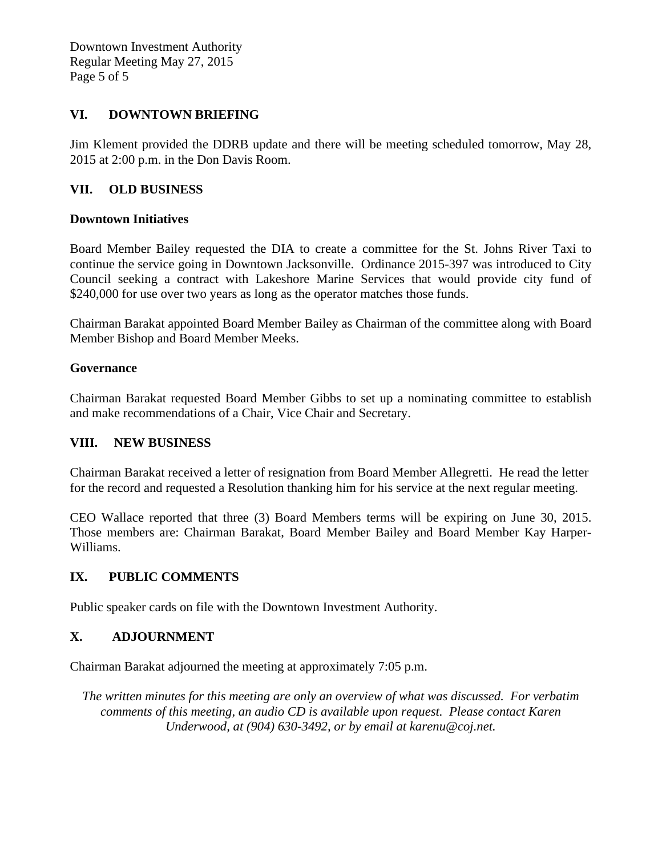Downtown Investment Authority Regular Meeting May 27, 2015 Page 5 of 5

#### **VI. DOWNTOWN BRIEFING**

Jim Klement provided the DDRB update and there will be meeting scheduled tomorrow, May 28, 2015 at 2:00 p.m. in the Don Davis Room.

#### **VII. OLD BUSINESS**

#### **Downtown Initiatives**

Board Member Bailey requested the DIA to create a committee for the St. Johns River Taxi to continue the service going in Downtown Jacksonville. Ordinance 2015-397 was introduced to City Council seeking a contract with Lakeshore Marine Services that would provide city fund of \$240,000 for use over two years as long as the operator matches those funds.

Chairman Barakat appointed Board Member Bailey as Chairman of the committee along with Board Member Bishop and Board Member Meeks.

#### **Governance**

Chairman Barakat requested Board Member Gibbs to set up a nominating committee to establish and make recommendations of a Chair, Vice Chair and Secretary.

#### **VIII. NEW BUSINESS**

Chairman Barakat received a letter of resignation from Board Member Allegretti. He read the letter for the record and requested a Resolution thanking him for his service at the next regular meeting.

CEO Wallace reported that three (3) Board Members terms will be expiring on June 30, 2015. Those members are: Chairman Barakat, Board Member Bailey and Board Member Kay Harper-Williams.

#### **IX. PUBLIC COMMENTS**

Public speaker cards on file with the Downtown Investment Authority.

## **X. ADJOURNMENT**

Chairman Barakat adjourned the meeting at approximately 7:05 p.m.

*The written minutes for this meeting are only an overview of what was discussed. For verbatim comments of this meeting, an audio CD is available upon request. Please contact Karen Underwood, at (904) 630-3492, or by email at karenu@coj.net.*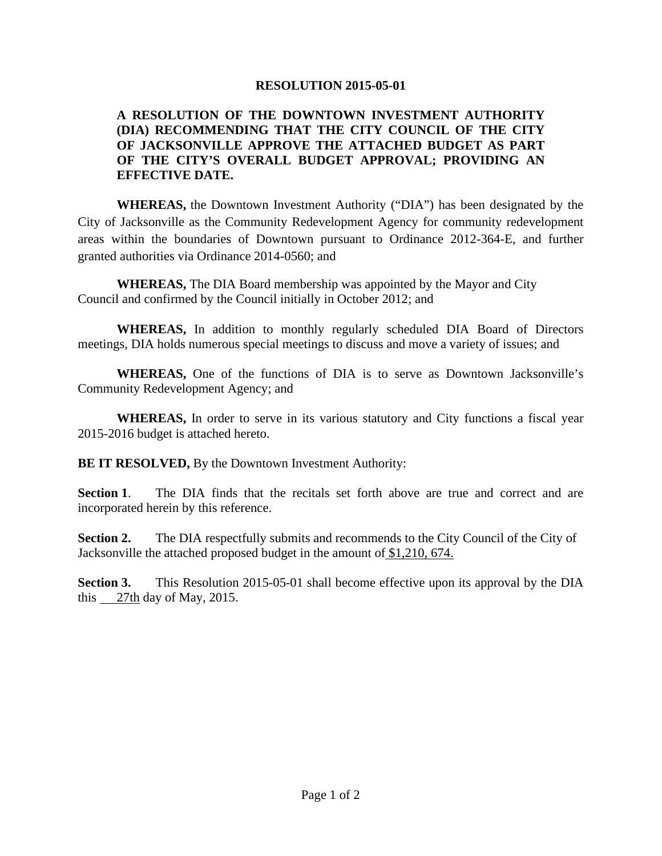#### **A RESOLUTION OF THE DOWNTOWN INVESTMENT AUTHORITY (DIA) RECOMMENDING THAT THE CITY COUNCIL OF THE CITY OF JACKSONVILLE APPROVE THE ATTACHED BUDGET AS PART OF THE CITY'S OVERALL BUDGET APPROVAL; PROVIDING AN EFFECTIVE DATE.**

**WHEREAS,** the Downtown Investment Authority ("DIA") has been designated by the City of Jacksonville as the Community Redevelopment Agency for community redevelopment areas within the boundaries of Downtown pursuant to Ordinance 2012-364-E, and further granted authorities via Ordinance 2014-0560; and

**WHEREAS,** The DIA Board membership was appointed by the Mayor and City Council and confirmed by the Council initially in October 2012; and

**WHEREAS,** In addition to monthly regularly scheduled DIA Board of Directors meetings, DIA holds numerous special meetings to discuss and move a variety of issues; and

**WHEREAS,** One of the functions of DIA is to serve as Downtown Jacksonville's Community Redevelopment Agency; and

**WHEREAS,** In order to serve in its various statutory and City functions a fiscal year 2015-2016 budget is attached hereto.

**BE IT RESOLVED, By the Downtown Investment Authority:** 

**Section 1.** The DIA finds that the recitals set forth above are true and correct and are incorporated herein by this reference.

**Section 2.** The DIA respectfully submits and recommends to the City Council of the City of Jacksonville the attached proposed budget in the amount of \$1,210, 674.

**Section 3.** This Resolution 2015-05-01 shall become effective upon its approval by the DIA this 27th day of May, 2015.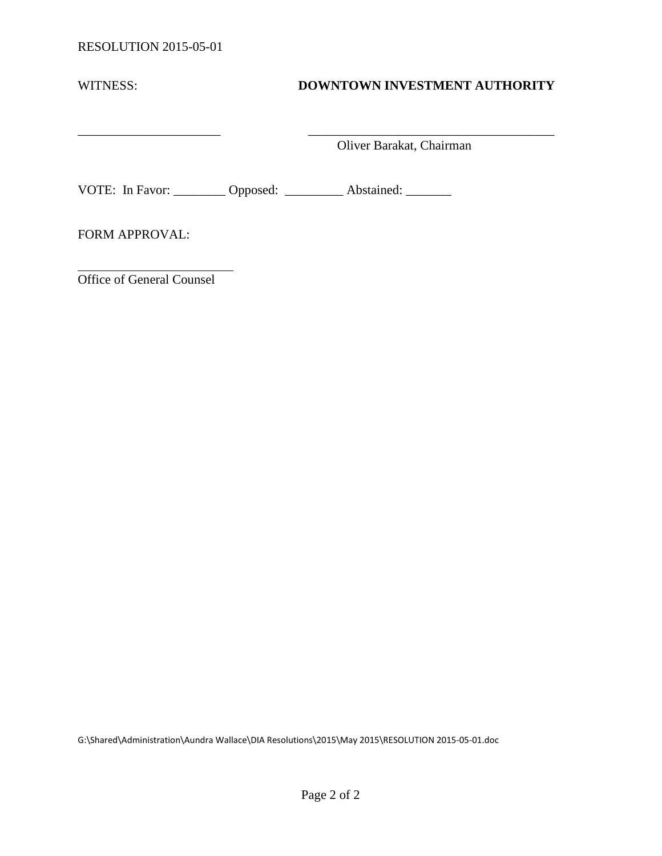| WITNESS:              | <b>DOWNTOWN INVESTMENT AUTHORITY</b>                             |
|-----------------------|------------------------------------------------------------------|
|                       | Oliver Barakat, Chairman                                         |
|                       | VOTE: In Favor: _________ Opposed: __________ Abstained: _______ |
| <b>FORM APPROVAL:</b> |                                                                  |

Office of General Counsel

G:\Shared\Administration\Aundra Wallace\DIA Resolutions\2015\May 2015\RESOLUTION 2015-05-01.doc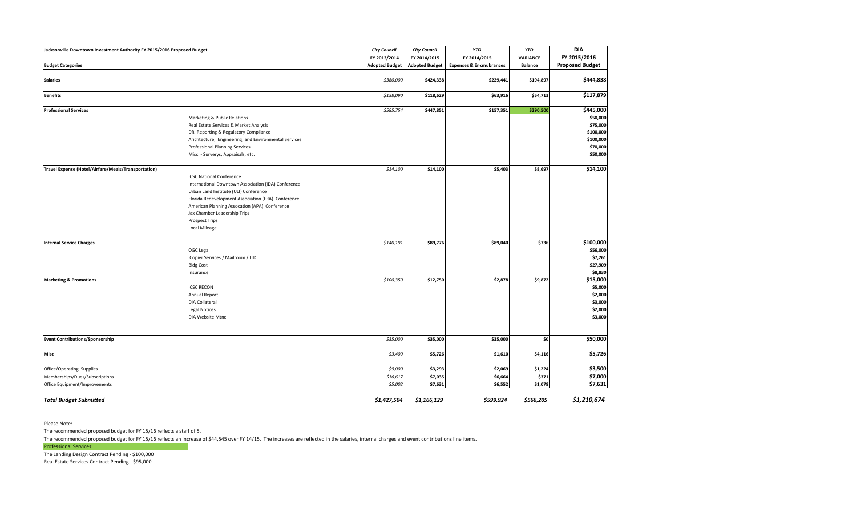| Jacksonville Downtown Investment Authority FY 2015/2016 Proposed Budget                      |                                                                                                                                                                                                                                                                                                                  | <b>City Council</b>            | <b>City Council</b>           | <b>YTD</b>                         | <b>YTD</b>                  | <b>DIA</b>                                                                          |
|----------------------------------------------------------------------------------------------|------------------------------------------------------------------------------------------------------------------------------------------------------------------------------------------------------------------------------------------------------------------------------------------------------------------|--------------------------------|-------------------------------|------------------------------------|-----------------------------|-------------------------------------------------------------------------------------|
|                                                                                              |                                                                                                                                                                                                                                                                                                                  | FY 2013/2014                   | FY 2014/2015                  | FY 2014/2015                       | <b>VARIANCE</b>             | FY 2015/2016                                                                        |
| <b>Budget Categories</b>                                                                     |                                                                                                                                                                                                                                                                                                                  | <b>Adopted Budget</b>          | <b>Adopted Budget</b>         | <b>Expenses &amp; Encmubrances</b> | <b>Balance</b>              | <b>Proposed Budget</b>                                                              |
| <b>Salaries</b>                                                                              |                                                                                                                                                                                                                                                                                                                  | \$380,000                      | \$424,338                     | \$229,441                          | \$194,897                   | \$444,838                                                                           |
| <b>Benefits</b>                                                                              |                                                                                                                                                                                                                                                                                                                  | \$138,090                      | \$118,629                     | \$63,916                           | \$54,713                    | \$117,879                                                                           |
| <b>Professional Services</b>                                                                 | Marketing & Public Relations<br>Real Estate Services & Market Analysis<br>DRI Reporting & Regulatory Compliance<br>Arichtecture; Engineering; and Environmental Services<br><b>Professional Planning Services</b><br>Misc. - Surverys; Appraisals; etc.                                                          | \$585,754                      | \$447,851                     | \$157,351                          | \$290,500                   | \$445,000<br>\$50,000<br>\$75,000<br>\$100,000<br>\$100,000<br>\$70,000<br>\$50,000 |
| Travel Expense (Hotel/Airfare/Meals/Transportation)                                          | <b>ICSC National Conference</b><br>International Downtown Association (IDA) Conference<br>Urban Land Institute (ULI) Conference<br>Florida Redevelopment Association (FRA) Conference<br>American Planning Assocation (APA) Conference<br>Jax Chamber Leadership Trips<br><b>Prospect Trips</b><br>Local Mileage | \$14,100                       | \$14,100                      | \$5,403                            | \$8,697                     | \$14,100                                                                            |
| <b>Internal Service Charges</b>                                                              | OGC Legal<br>Copier Services / Mailroom / ITD<br><b>Bldg Cost</b><br>Insurance                                                                                                                                                                                                                                   | \$140,191                      | \$89,776                      | \$89,040                           | \$736                       | \$100,000<br>\$56,000<br>\$7,261<br>\$27,909<br>\$8,830                             |
| <b>Marketing &amp; Promotions</b>                                                            | <b>ICSC RECON</b><br><b>Annual Report</b><br><b>DIA Collateral</b><br><b>Legal Notices</b><br>DIA Website Mtnc                                                                                                                                                                                                   | \$100,350                      | \$12,750                      | \$2,878                            | \$9,872                     | \$15,000<br>\$5,000<br>\$2,000<br>\$3,000<br>\$2,000<br>\$3,000                     |
| <b>Event Contributions/Sponsorship</b>                                                       |                                                                                                                                                                                                                                                                                                                  | \$35,000                       | \$35,000                      | \$35,000                           | \$0                         | \$50,000                                                                            |
| <b>Misc</b>                                                                                  |                                                                                                                                                                                                                                                                                                                  | \$3,400                        | \$5,726                       | \$1,610                            | \$4,116                     | \$5,726                                                                             |
| Office/Operating Supplies<br>Memberships/Dues/Subscriptions<br>Office Equipment/Improvements |                                                                                                                                                                                                                                                                                                                  | \$9,000<br>\$16,617<br>\$5,002 | \$3,293<br>\$7,035<br>\$7,631 | \$2,069<br>\$6,664<br>\$6,552      | \$1,224<br>\$371<br>\$1,079 | \$3,500<br>\$7,000<br>\$7,631                                                       |
| <b>Total Budget Submitted</b>                                                                |                                                                                                                                                                                                                                                                                                                  | \$1,427,504                    | \$1,166,129                   | \$599,924                          | \$566,205                   | \$1,210,674                                                                         |

The recommended proposed budget for FY 15/16 reflects an increase of \$44,545 over FY 14/15. The increases are reflected in the salaries, internal charges and event contributions line items. Professional Services:

Please Note:

The recommended proposed budget for FY 15/16 reflects a staff of 5.

The Landing Design Contract Pending - \$100,000

Real Estate Services Contract Pending - \$95,000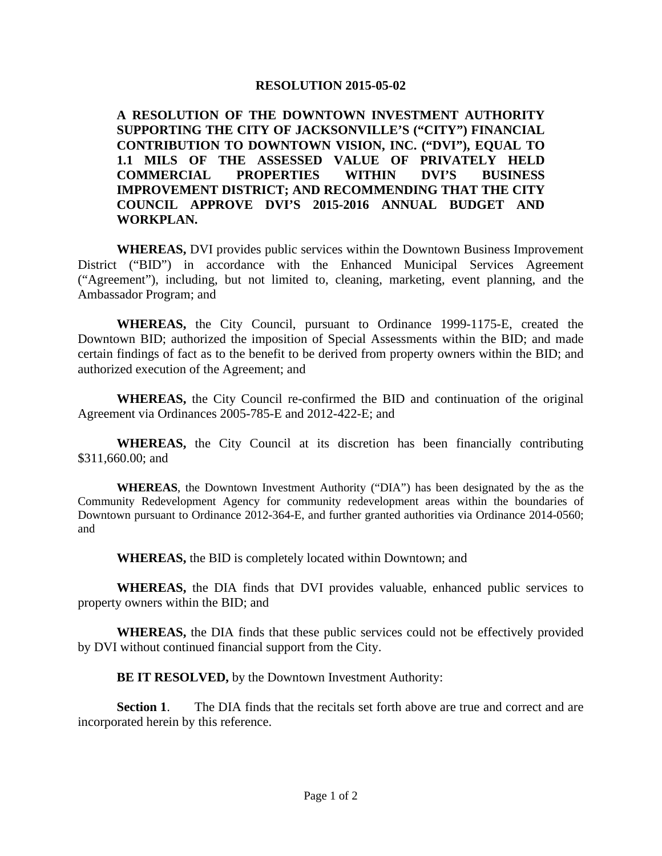**A RESOLUTION OF THE DOWNTOWN INVESTMENT AUTHORITY SUPPORTING THE CITY OF JACKSONVILLE'S ("CITY") FINANCIAL CONTRIBUTION TO DOWNTOWN VISION, INC. ("DVI"), EQUAL TO 1.1 MILS OF THE ASSESSED VALUE OF PRIVATELY HELD COMMERCIAL PROPERTIES WITHIN DVI'S BUSINESS IMPROVEMENT DISTRICT; AND RECOMMENDING THAT THE CITY COUNCIL APPROVE DVI'S 2015-2016 ANNUAL BUDGET AND WORKPLAN.** 

**WHEREAS,** DVI provides public services within the Downtown Business Improvement District ("BID") in accordance with the Enhanced Municipal Services Agreement ("Agreement"), including, but not limited to, cleaning, marketing, event planning, and the Ambassador Program; and

**WHEREAS,** the City Council, pursuant to Ordinance 1999-1175-E, created the Downtown BID; authorized the imposition of Special Assessments within the BID; and made certain findings of fact as to the benefit to be derived from property owners within the BID; and authorized execution of the Agreement; and

**WHEREAS,** the City Council re-confirmed the BID and continuation of the original Agreement via Ordinances 2005-785-E and 2012-422-E; and

**WHEREAS,** the City Council at its discretion has been financially contributing \$311,660.00; and

**WHEREAS**, the Downtown Investment Authority ("DIA") has been designated by the as the Community Redevelopment Agency for community redevelopment areas within the boundaries of Downtown pursuant to Ordinance 2012-364-E, and further granted authorities via Ordinance 2014-0560; and

**WHEREAS,** the BID is completely located within Downtown; and

**WHEREAS,** the DIA finds that DVI provides valuable, enhanced public services to property owners within the BID; and

**WHEREAS,** the DIA finds that these public services could not be effectively provided by DVI without continued financial support from the City.

**BE IT RESOLVED,** by the Downtown Investment Authority:

**Section 1**. The DIA finds that the recitals set forth above are true and correct and are incorporated herein by this reference.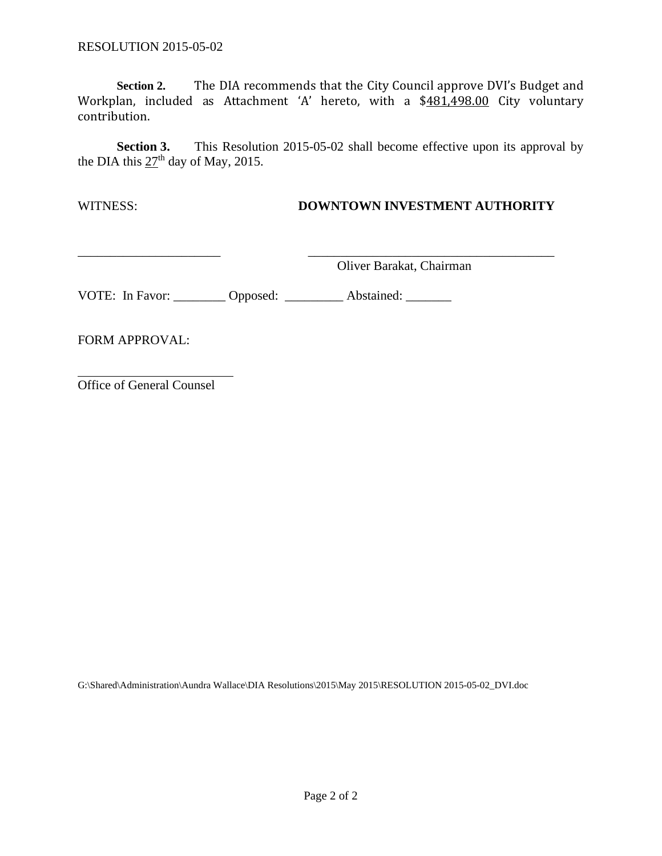**Section 2.** The DIA recommends that the City Council approve DVI's Budget and Workplan, included as Attachment 'A' hereto, with a \$481,498.00 City voluntary contribution.

**Section 3.** This Resolution 2015-05-02 shall become effective upon its approval by the DIA this  $27<sup>th</sup>$  day of May, 2015.

#### WITNESS: **DOWNTOWN INVESTMENT AUTHORITY**

Oliver Barakat, Chairman

VOTE: In Favor: \_\_\_\_\_\_\_\_ Opposed: \_\_\_\_\_\_\_\_ Abstained: \_\_\_\_\_\_

FORM APPROVAL:

Office of General Counsel

G:\Shared\Administration\Aundra Wallace\DIA Resolutions\2015\May 2015\RESOLUTION 2015-05-02\_DVI.doc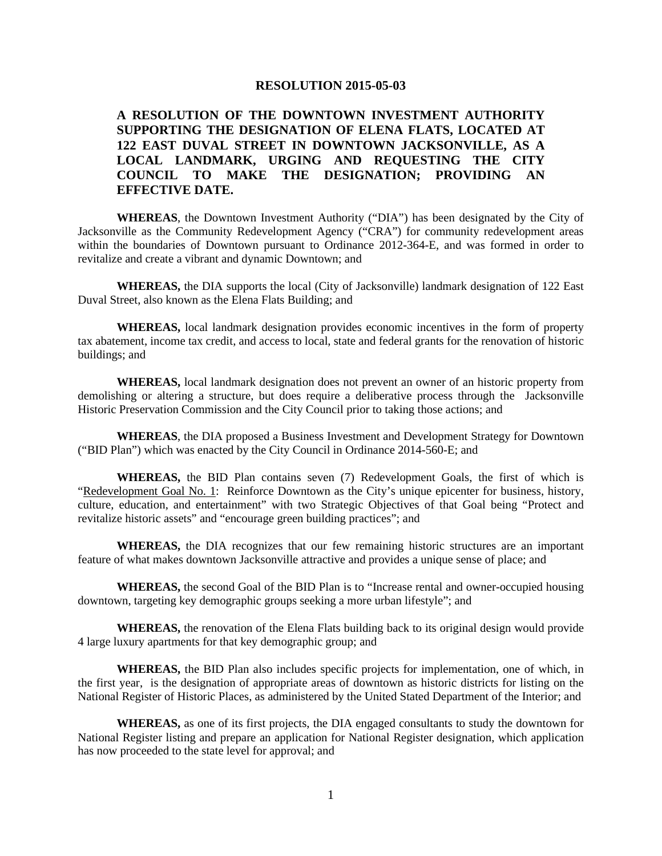#### **A RESOLUTION OF THE DOWNTOWN INVESTMENT AUTHORITY SUPPORTING THE DESIGNATION OF ELENA FLATS, LOCATED AT 122 EAST DUVAL STREET IN DOWNTOWN JACKSONVILLE, AS A LOCAL LANDMARK, URGING AND REQUESTING THE CITY COUNCIL TO MAKE THE DESIGNATION; PROVIDING AN EFFECTIVE DATE.**

**WHEREAS**, the Downtown Investment Authority ("DIA") has been designated by the City of Jacksonville as the Community Redevelopment Agency ("CRA") for community redevelopment areas within the boundaries of Downtown pursuant to Ordinance 2012-364-E, and was formed in order to revitalize and create a vibrant and dynamic Downtown; and

**WHEREAS,** the DIA supports the local (City of Jacksonville) landmark designation of 122 East Duval Street, also known as the Elena Flats Building; and

**WHEREAS,** local landmark designation provides economic incentives in the form of property tax abatement, income tax credit, and access to local, state and federal grants for the renovation of historic buildings; and

**WHEREAS,** local landmark designation does not prevent an owner of an historic property from demolishing or altering a structure, but does require a deliberative process through the Jacksonville Historic Preservation Commission and the City Council prior to taking those actions; and

**WHEREAS**, the DIA proposed a Business Investment and Development Strategy for Downtown ("BID Plan") which was enacted by the City Council in Ordinance 2014-560-E; and

**WHEREAS,** the BID Plan contains seven (7) Redevelopment Goals, the first of which is "Redevelopment Goal No. 1: Reinforce Downtown as the City's unique epicenter for business, history, culture, education, and entertainment" with two Strategic Objectives of that Goal being "Protect and revitalize historic assets" and "encourage green building practices"; and

**WHEREAS,** the DIA recognizes that our few remaining historic structures are an important feature of what makes downtown Jacksonville attractive and provides a unique sense of place; and

**WHEREAS,** the second Goal of the BID Plan is to "Increase rental and owner-occupied housing downtown, targeting key demographic groups seeking a more urban lifestyle"; and

**WHEREAS,** the renovation of the Elena Flats building back to its original design would provide 4 large luxury apartments for that key demographic group; and

**WHEREAS,** the BID Plan also includes specific projects for implementation, one of which, in the first year, is the designation of appropriate areas of downtown as historic districts for listing on the National Register of Historic Places, as administered by the United Stated Department of the Interior; and

**WHEREAS,** as one of its first projects, the DIA engaged consultants to study the downtown for National Register listing and prepare an application for National Register designation, which application has now proceeded to the state level for approval; and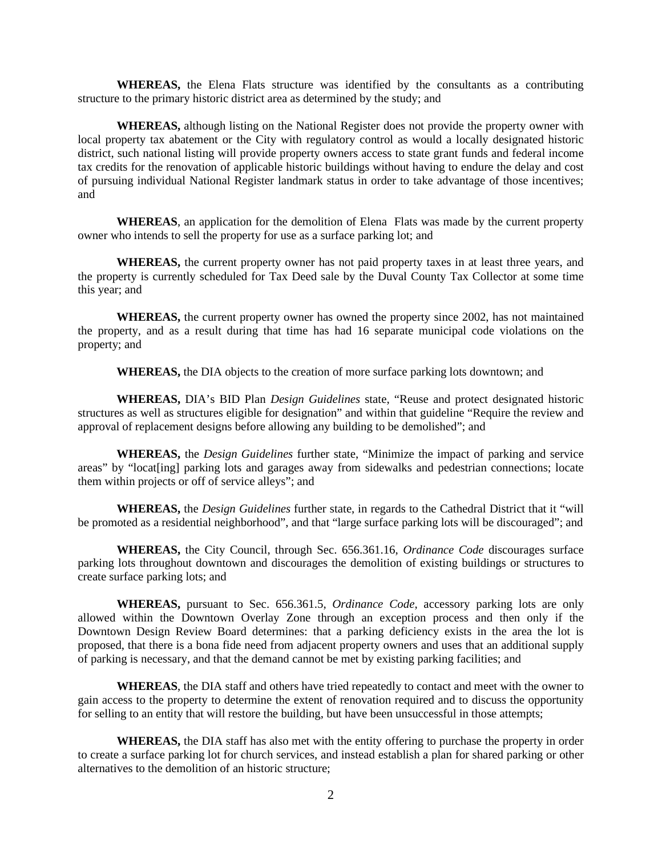**WHEREAS,** the Elena Flats structure was identified by the consultants as a contributing structure to the primary historic district area as determined by the study; and

**WHEREAS,** although listing on the National Register does not provide the property owner with local property tax abatement or the City with regulatory control as would a locally designated historic district, such national listing will provide property owners access to state grant funds and federal income tax credits for the renovation of applicable historic buildings without having to endure the delay and cost of pursuing individual National Register landmark status in order to take advantage of those incentives; and

**WHEREAS**, an application for the demolition of Elena Flats was made by the current property owner who intends to sell the property for use as a surface parking lot; and

**WHEREAS,** the current property owner has not paid property taxes in at least three years, and the property is currently scheduled for Tax Deed sale by the Duval County Tax Collector at some time this year; and

**WHEREAS,** the current property owner has owned the property since 2002, has not maintained the property, and as a result during that time has had 16 separate municipal code violations on the property; and

**WHEREAS,** the DIA objects to the creation of more surface parking lots downtown; and

**WHEREAS,** DIA's BID Plan *Design Guidelines* state, "Reuse and protect designated historic structures as well as structures eligible for designation" and within that guideline "Require the review and approval of replacement designs before allowing any building to be demolished"; and

**WHEREAS,** the *Design Guidelines* further state, "Minimize the impact of parking and service areas" by "locat[ing] parking lots and garages away from sidewalks and pedestrian connections; locate them within projects or off of service alleys"; and

**WHEREAS,** the *Design Guidelines* further state, in regards to the Cathedral District that it "will be promoted as a residential neighborhood", and that "large surface parking lots will be discouraged"; and

**WHEREAS,** the City Council, through Sec. 656.361.16, *Ordinance Code* discourages surface parking lots throughout downtown and discourages the demolition of existing buildings or structures to create surface parking lots; and

**WHEREAS,** pursuant to Sec. 656.361.5, *Ordinance Code*, accessory parking lots are only allowed within the Downtown Overlay Zone through an exception process and then only if the Downtown Design Review Board determines: that a parking deficiency exists in the area the lot is proposed, that there is a bona fide need from adjacent property owners and uses that an additional supply of parking is necessary, and that the demand cannot be met by existing parking facilities; and

**WHEREAS**, the DIA staff and others have tried repeatedly to contact and meet with the owner to gain access to the property to determine the extent of renovation required and to discuss the opportunity for selling to an entity that will restore the building, but have been unsuccessful in those attempts;

**WHEREAS,** the DIA staff has also met with the entity offering to purchase the property in order to create a surface parking lot for church services, and instead establish a plan for shared parking or other alternatives to the demolition of an historic structure;